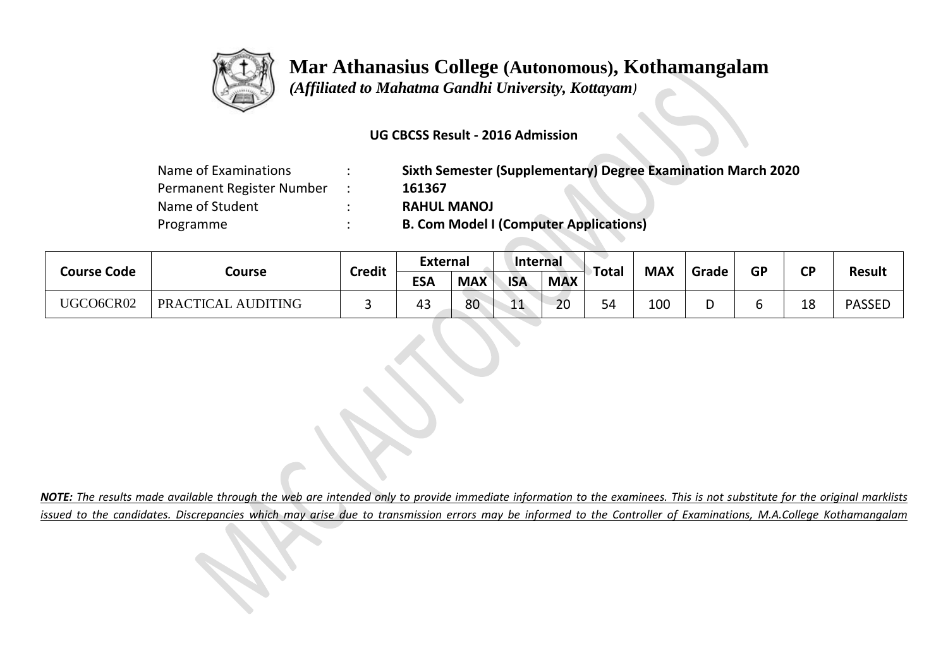

## **Mar Athanasius College (Autonomous), Kothamangalam**

**All Contracts** 

 *(Affiliated to Mahatma Gandhi University, Kottayam)*

## **UG CBCSS Result - 2016 Admission**

| Name of Examinations      | Sixth Semester (Supplementary) Degree Examination March 2020 |
|---------------------------|--------------------------------------------------------------|
| Permanent Register Number | 161367                                                       |
| Name of Student           | <b>RAHUL MANOJ</b>                                           |
| Programme                 | <b>B. Com Model I (Computer Applications)</b>                |

| <b>Course Code</b> | Course             | <b>Credit</b> | <b>External</b> |            | Internal   |            | Total   | <b>MAX</b> |       | <b>GP</b> | <b>CP</b> |               |
|--------------------|--------------------|---------------|-----------------|------------|------------|------------|---------|------------|-------|-----------|-----------|---------------|
|                    |                    |               | <b>ESA</b>      | <b>MAX</b> | <b>ISA</b> | <b>MAX</b> |         |            | Grade |           |           | <b>Result</b> |
| UGCO6CR02          | PRACTICAL AUDITING |               | 45              | 80         | 11         | 20         | 54<br>◡ | 100        |       | o         | 18        | <b>PASSED</b> |

*NOTE: The results made available through the web are intended only to provide immediate information to the examinees. This is not substitute for the original marklists issued to the candidates. Discrepancies which may arise due to transmission errors may be informed to the Controller of Examinations, M.A.College Kothamangalam*